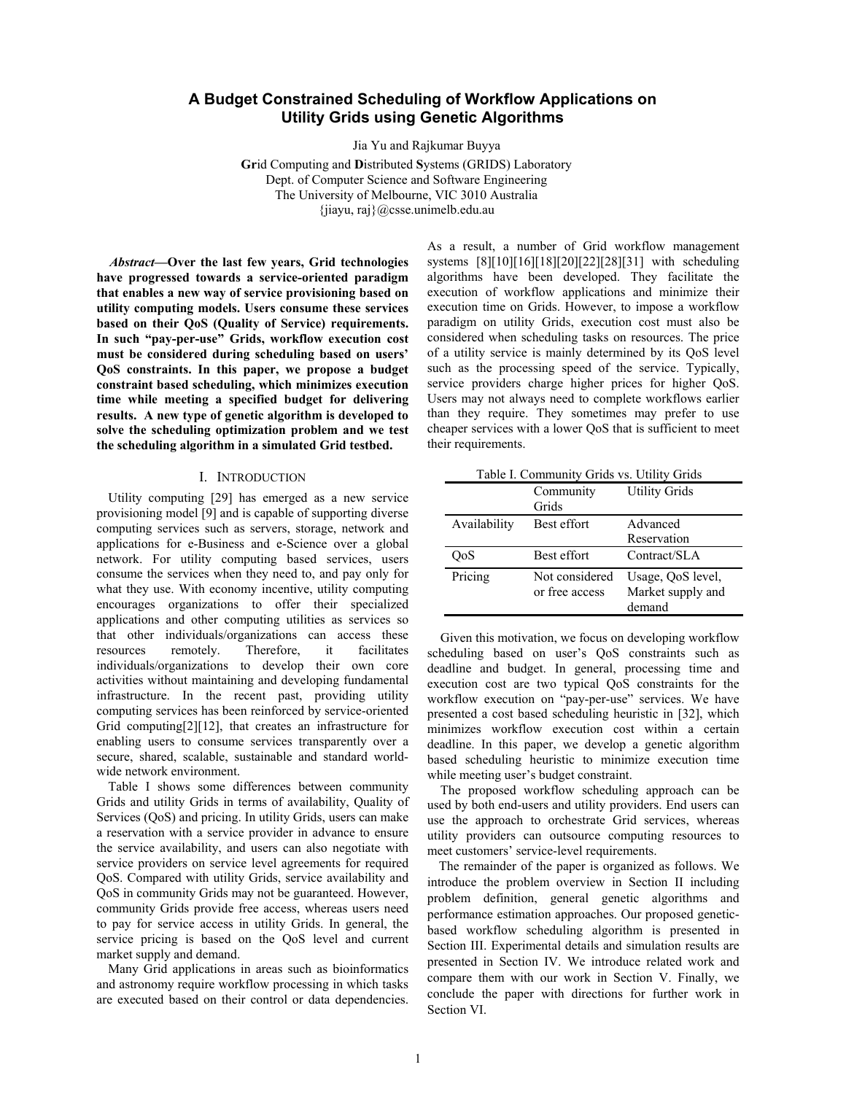# **A Budget Constrained Scheduling of Workflow Applications on Utility Grids using Genetic Algorithms**

Jia Yu and Rajkumar Buyya

**Gr**id Computing and **D**istributed **S**ystems (GRIDS) Laboratory Dept. of Computer Science and Software Engineering The University of Melbourne, VIC 3010 Australia {jiayu, raj}@csse.unimelb.edu.au

*Abstract***—Over the last few years, Grid technologies have progressed towards a service-oriented paradigm that enables a new way of service provisioning based on utility computing models. Users consume these services based on their QoS (Quality of Service) requirements. In such "pay-per-use" Grids, workflow execution cost must be considered during scheduling based on users' QoS constraints. In this paper, we propose a budget constraint based scheduling, which minimizes execution time while meeting a specified budget for delivering results. A new type of genetic algorithm is developed to solve the scheduling optimization problem and we test the scheduling algorithm in a simulated Grid testbed.** 

## I. INTRODUCTION

Utility computing [29] has emerged as a new service provisioning model [9] and is capable of supporting diverse computing services such as servers, storage, network and applications for e-Business and e-Science over a global network. For utility computing based services, users consume the services when they need to, and pay only for what they use. With economy incentive, utility computing encourages organizations to offer their specialized applications and other computing utilities as services so that other individuals/organizations can access these resources remotely. Therefore, it facilitates individuals/organizations to develop their own core activities without maintaining and developing fundamental infrastructure. In the recent past, providing utility computing services has been reinforced by service-oriented Grid computing[2][12], that creates an infrastructure for enabling users to consume services transparently over a secure, shared, scalable, sustainable and standard worldwide network environment.

Table I shows some differences between community Grids and utility Grids in terms of availability, Quality of Services (QoS) and pricing. In utility Grids, users can make a reservation with a service provider in advance to ensure the service availability, and users can also negotiate with service providers on service level agreements for required QoS. Compared with utility Grids, service availability and QoS in community Grids may not be guaranteed. However, community Grids provide free access, whereas users need to pay for service access in utility Grids. In general, the service pricing is based on the QoS level and current market supply and demand.

Many Grid applications in areas such as bioinformatics and astronomy require workflow processing in which tasks are executed based on their control or data dependencies.

As a result, a number of Grid workflow management systems [8][10][16][18][20][22][28][31] with scheduling algorithms have been developed. They facilitate the execution of workflow applications and minimize their execution time on Grids. However, to impose a workflow paradigm on utility Grids, execution cost must also be considered when scheduling tasks on resources. The price of a utility service is mainly determined by its QoS level such as the processing speed of the service. Typically, service providers charge higher prices for higher QoS. Users may not always need to complete workflows earlier than they require. They sometimes may prefer to use cheaper services with a lower QoS that is sufficient to meet their requirements.

| Table I. Community Grids vs. Utility Grids |  |
|--------------------------------------------|--|
|--------------------------------------------|--|

|              | Community<br>Grids               | <b>Utility Grids</b>                             |
|--------------|----------------------------------|--------------------------------------------------|
| Availability | Best effort                      | Advanced<br>Reservation                          |
| OoS          | <b>Best effort</b>               | Contract/SLA                                     |
| Pricing      | Not considered<br>or free access | Usage, QoS level,<br>Market supply and<br>demand |

Given this motivation, we focus on developing workflow scheduling based on user's QoS constraints such as deadline and budget. In general, processing time and execution cost are two typical QoS constraints for the workflow execution on "pay-per-use" services. We have presented a cost based scheduling heuristic in [32], which minimizes workflow execution cost within a certain deadline. In this paper, we develop a genetic algorithm based scheduling heuristic to minimize execution time while meeting user's budget constraint.

 The proposed workflow scheduling approach can be used by both end-users and utility providers. End users can use the approach to orchestrate Grid services, whereas utility providers can outsource computing resources to meet customers' service-level requirements.

The remainder of the paper is organized as follows. We introduce the problem overview in Section II including problem definition, general genetic algorithms and performance estimation approaches. Our proposed geneticbased workflow scheduling algorithm is presented in Section III. Experimental details and simulation results are presented in Section IV. We introduce related work and compare them with our work in Section V. Finally, we conclude the paper with directions for further work in Section VI.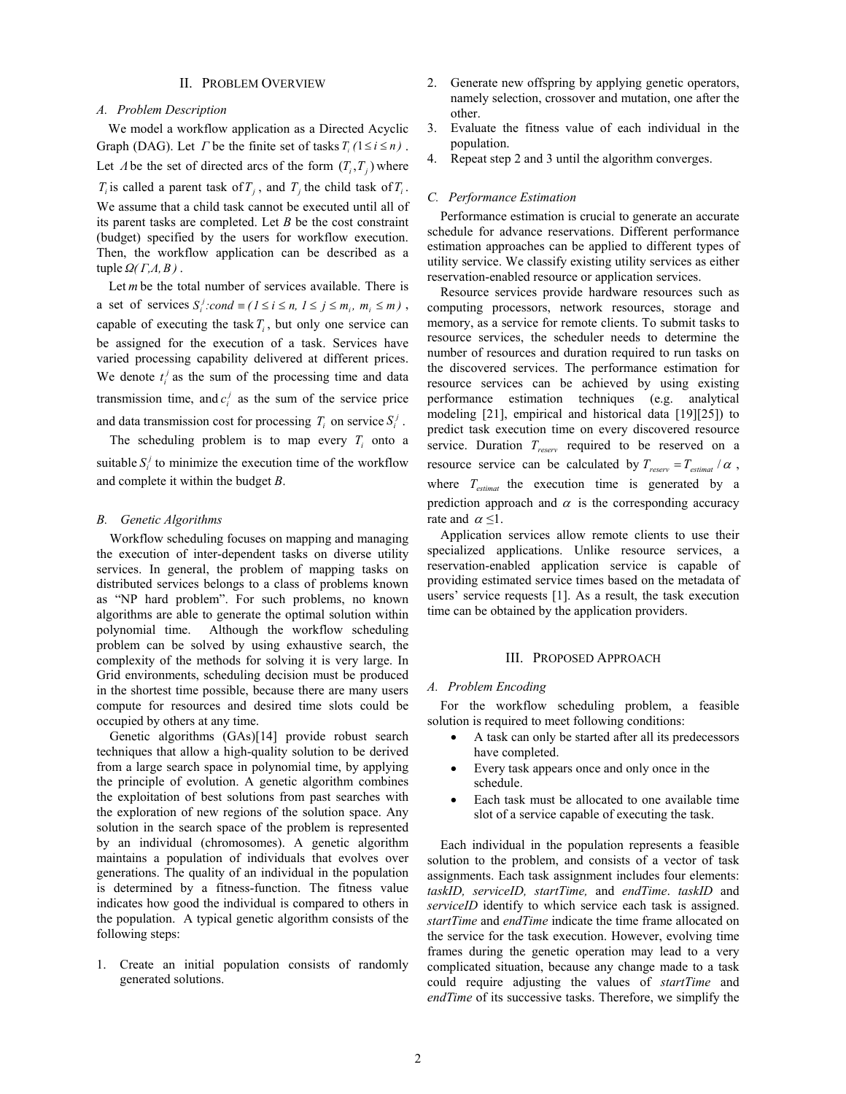## II. PROBLEM OVERVIEW

## *A. Problem Description*

We model a workflow application as a Directed Acyclic Graph (DAG). Let *Γ* be the finite set of tasks  $T_i$  ( $1 \le i \le n$ ). Let *Λ* be the set of directed arcs of the form  $(T_i, T_j)$  where  $T_i$  is called a parent task of  $T_j$ , and  $T_j$  the child task of  $T_i$ . We assume that a child task cannot be executed until all of its parent tasks are completed. Let *B* be the cost constraint (budget) specified by the users for workflow execution. Then, the workflow application can be described as a tuple *Ω( Γ,Λ,B )* .

Let *m* be the total number of services available. There is a set of services  $S_i^j$ :*cond*  $\equiv (1 \le i \le n, 1 \le j \le m_i, m_i \le m)$ , capable of executing the task  $T<sub>i</sub>$ , but only one service can be assigned for the execution of a task. Services have varied processing capability delivered at different prices. We denote  $t_i^j$  as the sum of the processing time and data transmission time, and  $c_i^j$  as the sum of the service price and data transmission cost for processing  $T_i$  on service  $S_i^j$ .

The scheduling problem is to map every  $T_i$  onto a suitable  $S_i^j$  to minimize the execution time of the workflow and complete it within the budget *B*.

### *B. Genetic Algorithms*

Workflow scheduling focuses on mapping and managing the execution of inter-dependent tasks on diverse utility services. In general, the problem of mapping tasks on distributed services belongs to a class of problems known as "NP hard problem". For such problems, no known algorithms are able to generate the optimal solution within polynomial time. Although the workflow scheduling problem can be solved by using exhaustive search, the complexity of the methods for solving it is very large. In Grid environments, scheduling decision must be produced in the shortest time possible, because there are many users compute for resources and desired time slots could be occupied by others at any time.

Genetic algorithms (GAs)[14] provide robust search techniques that allow a high-quality solution to be derived from a large search space in polynomial time, by applying the principle of evolution. A genetic algorithm combines the exploitation of best solutions from past searches with the exploration of new regions of the solution space. Any solution in the search space of the problem is represented by an individual (chromosomes). A genetic algorithm maintains a population of individuals that evolves over generations. The quality of an individual in the population is determined by a fitness-function. The fitness value indicates how good the individual is compared to others in the population. A typical genetic algorithm consists of the following steps:

1. Create an initial population consists of randomly generated solutions.

- 2. Generate new offspring by applying genetic operators, namely selection, crossover and mutation, one after the other.
- 3. Evaluate the fitness value of each individual in the population.
- 4. Repeat step 2 and 3 until the algorithm converges.

### *C. Performance Estimation*

Performance estimation is crucial to generate an accurate schedule for advance reservations. Different performance estimation approaches can be applied to different types of utility service. We classify existing utility services as either reservation-enabled resource or application services.

Resource services provide hardware resources such as computing processors, network resources, storage and memory, as a service for remote clients. To submit tasks to resource services, the scheduler needs to determine the number of resources and duration required to run tasks on the discovered services. The performance estimation for resource services can be achieved by using existing performance estimation techniques (e.g. analytical modeling [21], empirical and historical data [19][25]) to predict task execution time on every discovered resource service. Duration  $T_{reserv}$  required to be reserved on a resource service can be calculated by  $T_{\text{reserv}} = T_{\text{estimat}} / \alpha$ , where  $T_{estimat}$  the execution time is generated by a prediction approach and  $\alpha$  is the corresponding accuracy rate and  $\alpha \leq 1$ .

Application services allow remote clients to use their specialized applications. Unlike resource services, a reservation-enabled application service is capable of providing estimated service times based on the metadata of users' service requests [1]. As a result, the task execution time can be obtained by the application providers.

### III. PROPOSED APPROACH

### *A. Problem Encoding*

For the workflow scheduling problem, a feasible solution is required to meet following conditions:

- A task can only be started after all its predecessors have completed.
- Every task appears once and only once in the schedule.
- Each task must be allocated to one available time slot of a service capable of executing the task.

Each individual in the population represents a feasible solution to the problem, and consists of a vector of task assignments. Each task assignment includes four elements: *taskID, serviceID, startTime,* and *endTime*. *taskID* and *serviceID* identify to which service each task is assigned. *startTime* and *endTime* indicate the time frame allocated on the service for the task execution. However, evolving time frames during the genetic operation may lead to a very complicated situation, because any change made to a task could require adjusting the values of *startTime* and *endTime* of its successive tasks. Therefore, we simplify the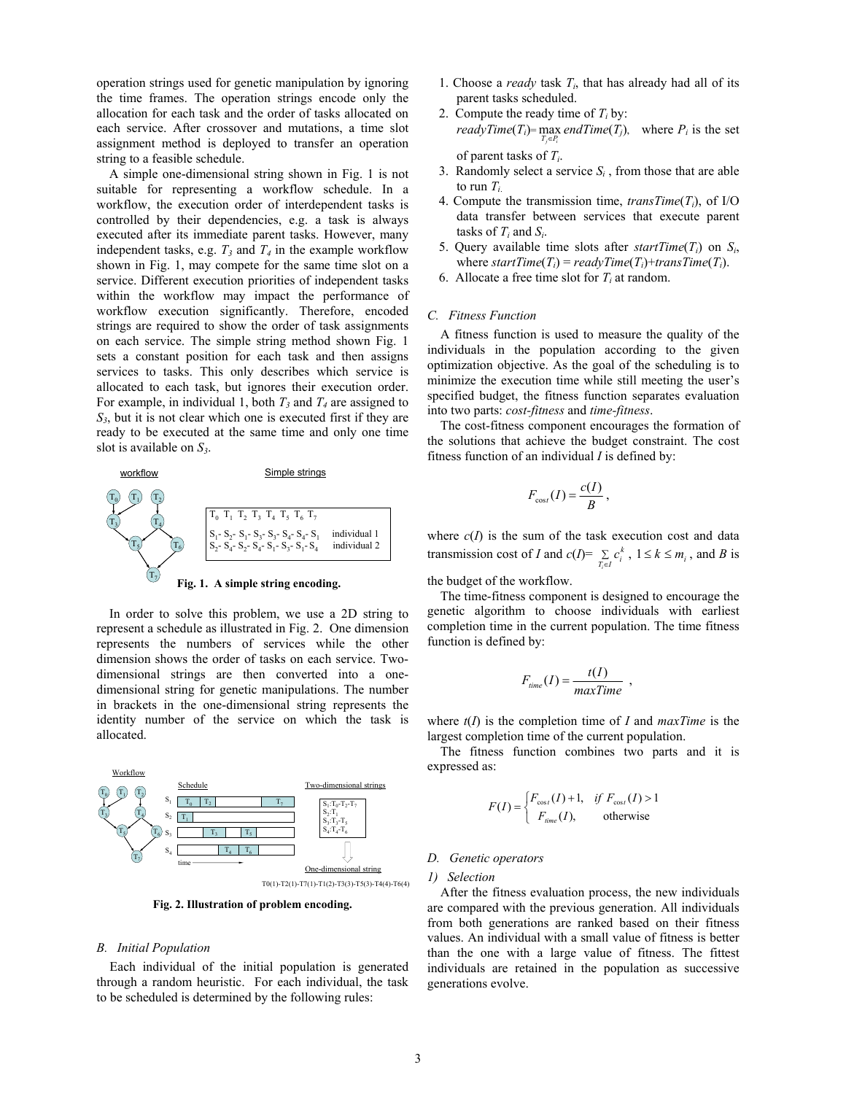operation strings used for genetic manipulation by ignoring the time frames. The operation strings encode only the allocation for each task and the order of tasks allocated on each service. After crossover and mutations, a time slot assignment method is deployed to transfer an operation string to a feasible schedule.

A simple one-dimensional string shown in Fig. 1 is not suitable for representing a workflow schedule. In a workflow, the execution order of interdependent tasks is controlled by their dependencies, e.g. a task is always executed after its immediate parent tasks. However, many independent tasks, e.g.  $T_3$  and  $T_4$  in the example workflow shown in Fig. 1, may compete for the same time slot on a service. Different execution priorities of independent tasks within the workflow may impact the performance of workflow execution significantly. Therefore, encoded strings are required to show the order of task assignments on each service. The simple string method shown Fig. 1 sets a constant position for each task and then assigns services to tasks. This only describes which service is allocated to each task, but ignores their execution order. For example, in individual 1, both  $T_3$  and  $T_4$  are assigned to *S3*, but it is not clear which one is executed first if they are ready to be executed at the same time and only one time slot is available on *S3*.



In order to solve this problem, we use a 2D string to represent a schedule as illustrated in Fig. 2. One dimension represents the numbers of services while the other dimension shows the order of tasks on each service. Twodimensional strings are then converted into a onedimensional string for genetic manipulations. The number in brackets in the one-dimensional string represents the identity number of the service on which the task is allocated.



**Fig. 2. Illustration of problem encoding.** 

### *B. Initial Population*

Each individual of the initial population is generated through a random heuristic. For each individual, the task to be scheduled is determined by the following rules:

- 1. Choose a *ready* task  $T_i$ , that has already had all of its parent tasks scheduled.
- 2. Compute the ready time of  $T_i$  by: *readyTime*(*T<sub>i</sub>*)=  $\max_{T_i \in P_i}$  *endTime*(*T<sub>j</sub>*), where *P<sub>i</sub>* is the set ∈*Pi* of parent tasks of *Ti*.
- 3. Randomly select a service  $S_i$ , from those that are able to run *Ti*.
- 4. Compute the transmission time, *transTime*(*Ti*), of I/O data transfer between services that execute parent tasks of *Ti* and *Si*.
- 5. Query available time slots after *startTime*(*Ti*) on *Si*, where  $startTime(T_i) = readvTime(T_i) + transTime(T_i)$ .
- 6. Allocate a free time slot for *Ti* at random.

### *C. Fitness Function*

A fitness function is used to measure the quality of the individuals in the population according to the given optimization objective. As the goal of the scheduling is to minimize the execution time while still meeting the user's specified budget, the fitness function separates evaluation into two parts: *cost-fitness* and *time-fitness*.

The cost-fitness component encourages the formation of the solutions that achieve the budget constraint. The cost fitness function of an individual *I* is defined by:

$$
F_{\cos t}(I) = \frac{c(I)}{B},
$$

where  $c(I)$  is the sum of the task execution cost and data transmission cost of *I* and  $c(I) = \sum_{T_i \in I}$  $\sum_{i \in I} c_i^k$ ,  $1 \le k \le m_i$ , and *B* is

the budget of the workflow.

The time-fitness component is designed to encourage the genetic algorithm to choose individuals with earliest completion time in the current population. The time fitness function is defined by:

$$
F_{\text{time}}(I) = \frac{t(I)}{maxTime} ,
$$

where  $t(I)$  is the completion time of *I* and  $maxTime$  is the largest completion time of the current population.

The fitness function combines two parts and it is expressed as:

$$
F(I) = \begin{cases} F_{\cos t}(I) + 1, & \text{if } F_{\cos t}(I) > 1\\ F_{\text{time}}(I), & \text{otherwise} \end{cases}
$$

## *D. Genetic operators*

#### *1) Selection*

After the fitness evaluation process, the new individuals are compared with the previous generation. All individuals from both generations are ranked based on their fitness values. An individual with a small value of fitness is better than the one with a large value of fitness. The fittest individuals are retained in the population as successive generations evolve.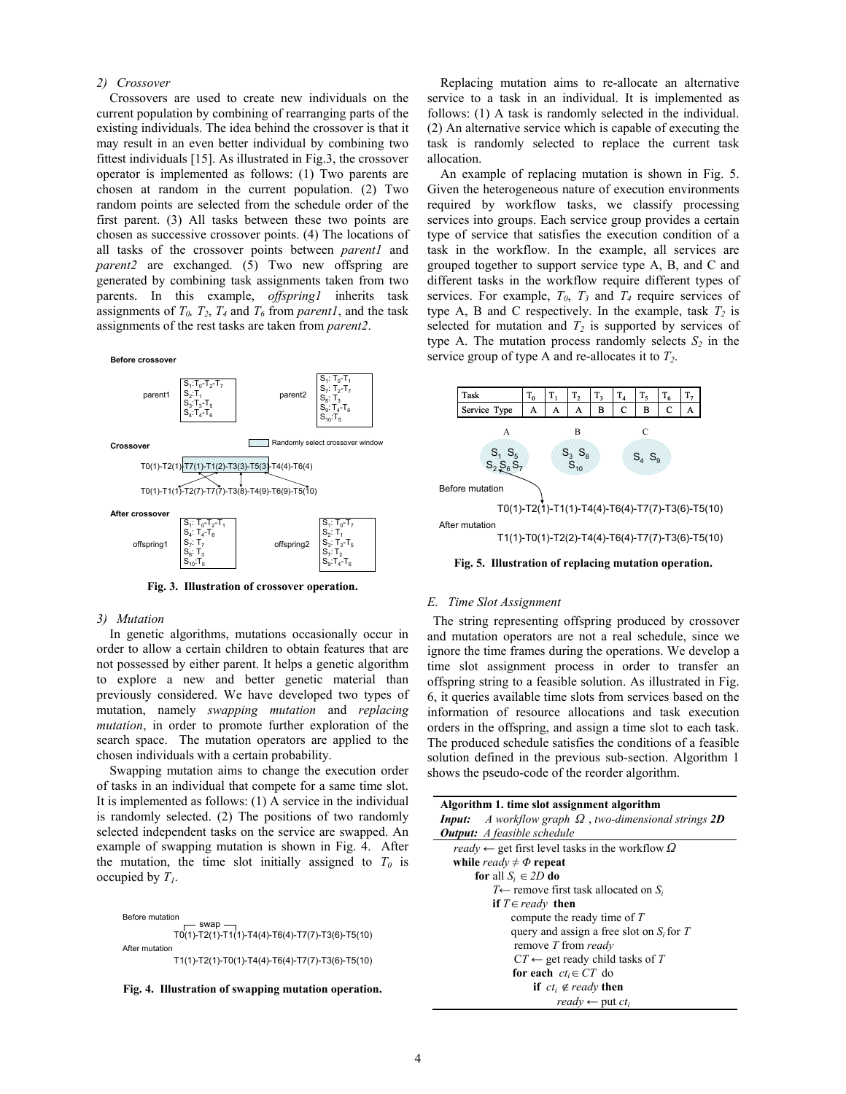### *2) Crossover*

Crossovers are used to create new individuals on the current population by combining of rearranging parts of the existing individuals. The idea behind the crossover is that it may result in an even better individual by combining two fittest individuals [15]. As illustrated in Fig.3, the crossover operator is implemented as follows: (1) Two parents are chosen at random in the current population. (2) Two random points are selected from the schedule order of the first parent. (3) All tasks between these two points are chosen as successive crossover points. (4) The locations of all tasks of the crossover points between *parent1* and *parent2* are exchanged. (5) Two new offspring are generated by combining task assignments taken from two parents. In this example, *offspring1* inherits task assignments of  $T_0$ ,  $T_2$ ,  $T_4$  and  $T_6$  from *parent1*, and the task assignments of the rest tasks are taken from *parent2*.



**Fig. 3. Illustration of crossover operation.** 

### *3) Mutation*

In genetic algorithms, mutations occasionally occur in order to allow a certain children to obtain features that are not possessed by either parent. It helps a genetic algorithm to explore a new and better genetic material than previously considered. We have developed two types of mutation, namely *swapping mutation* and *replacing mutation*, in order to promote further exploration of the search space. The mutation operators are applied to the chosen individuals with a certain probability.

Swapping mutation aims to change the execution order of tasks in an individual that compete for a same time slot. It is implemented as follows: (1) A service in the individual is randomly selected. (2) The positions of two randomly selected independent tasks on the service are swapped. An example of swapping mutation is shown in Fig. 4. After the mutation, the time slot initially assigned to  $T_0$  is occupied by *T1*.

T0(1)-T2(1)-T1(1)-T4(4)-T6(4)-T7(7)-T3(6)-T5(10) swap T1(1)-T2(1)-T0(1)-T4(4)-T6(4)-T7(7)-T3(6)-T5(10) Before mutation After mutation



 Replacing mutation aims to re-allocate an alternative service to a task in an individual. It is implemented as follows: (1) A task is randomly selected in the individual. (2) An alternative service which is capable of executing the task is randomly selected to replace the current task allocation.

An example of replacing mutation is shown in Fig. 5. Given the heterogeneous nature of execution environments required by workflow tasks, we classify processing services into groups. Each service group provides a certain type of service that satisfies the execution condition of a task in the workflow. In the example, all services are grouped together to support service type A, B, and C and different tasks in the workflow require different types of services. For example,  $T_0$ ,  $T_3$  and  $T_4$  require services of type A, B and C respectively. In the example, task  $T_2$  is selected for mutation and  $T_2$  is supported by services of type A. The mutation process randomly selects  $S_2$  in the service group of type A and re-allocates it to *T2*.



**Fig. 5. Illustration of replacing mutation operation.** 

### *E. Time Slot Assignment*

The string representing offspring produced by crossover and mutation operators are not a real schedule, since we ignore the time frames during the operations. We develop a time slot assignment process in order to transfer an offspring string to a feasible solution. As illustrated in Fig. 6, it queries available time slots from services based on the information of resource allocations and task execution orders in the offspring, and assign a time slot to each task. The produced schedule satisfies the conditions of a feasible solution defined in the previous sub-section. Algorithm 1 shows the pseudo-code of the reorder algorithm.

| Algorithm 1. time slot assignment algorithm                          |
|----------------------------------------------------------------------|
| <b>Input:</b> A workflow graph $\Omega$ , two-dimensional strings 2D |
| <b>Output:</b> A feasible schedule                                   |
| ready $\leftarrow$ get first level tasks in the workflow $\Omega$    |
| while ready $\neq \Phi$ repeat                                       |
| for all $S_i \in 2D$ do                                              |
| $T \leftarrow$ remove first task allocated on $S_i$                  |
| if $T \in ready$ then                                                |
| compute the ready time of $T$                                        |
| query and assign a free slot on $S_i$ for T                          |
| remove T from ready                                                  |
| $CT \leftarrow$ get ready child tasks of T                           |
| for each $ct_i \in CT$ do                                            |
| if $ct_i \notin \text{ready}$ then                                   |
| ready $\leftarrow$ put ct <sub>i</sub>                               |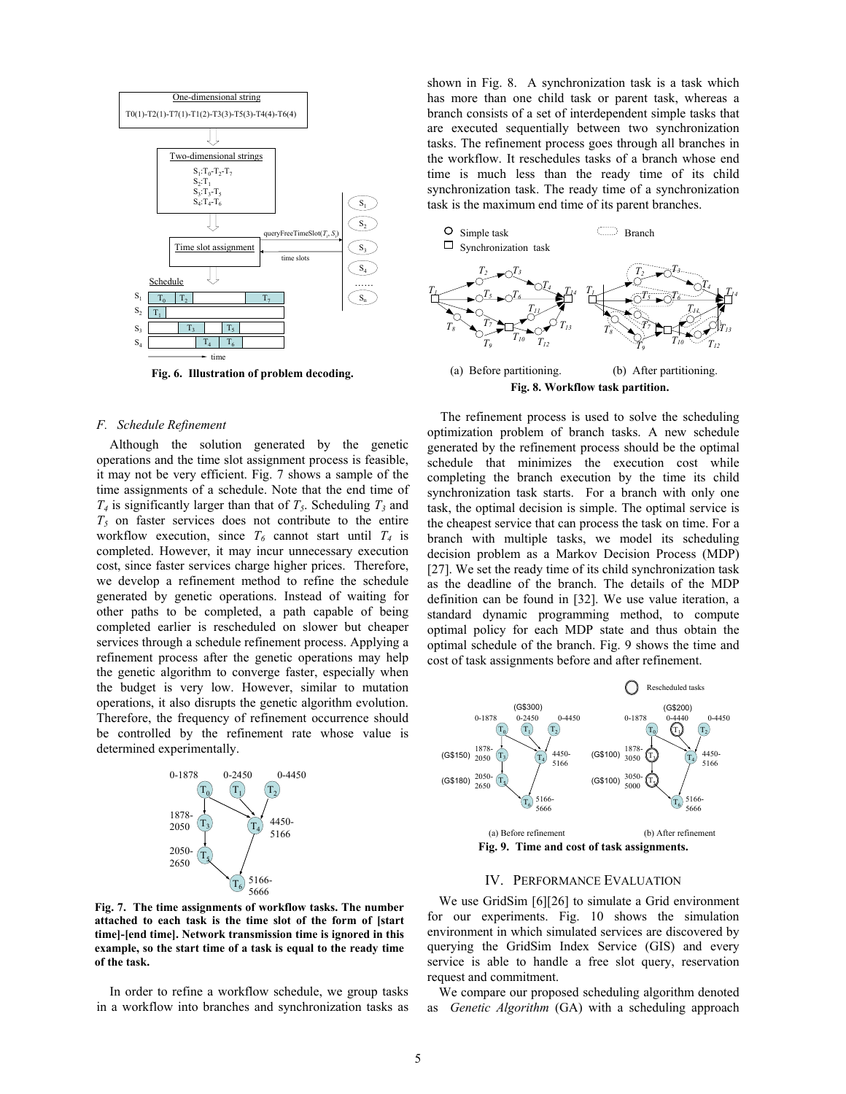

**Fig. 6. Illustration of problem decoding.** 

### *F. Schedule Refinement*

Although the solution generated by the genetic operations and the time slot assignment process is feasible, it may not be very efficient. Fig. 7 shows a sample of the time assignments of a schedule. Note that the end time of  $T_4$  is significantly larger than that of  $T_5$ . Scheduling  $T_3$  and *T5* on faster services does not contribute to the entire workflow execution, since  $T_6$  cannot start until  $T_4$  is completed. However, it may incur unnecessary execution cost, since faster services charge higher prices. Therefore, we develop a refinement method to refine the schedule generated by genetic operations. Instead of waiting for other paths to be completed, a path capable of being completed earlier is rescheduled on slower but cheaper services through a schedule refinement process. Applying a refinement process after the genetic operations may help the genetic algorithm to converge faster, especially when the budget is very low. However, similar to mutation operations, it also disrupts the genetic algorithm evolution. Therefore, the frequency of refinement occurrence should be controlled by the refinement rate whose value is determined experimentally.



**Fig. 7. The time assignments of workflow tasks. The number attached to each task is the time slot of the form of [start time]-[end time]. Network transmission time is ignored in this example, so the start time of a task is equal to the ready time of the task.** 

In order to refine a workflow schedule, we group tasks in a workflow into branches and synchronization tasks as

shown in Fig. 8. A synchronization task is a task which has more than one child task or parent task, whereas a branch consists of a set of interdependent simple tasks that are executed sequentially between two synchronization tasks. The refinement process goes through all branches in the workflow. It reschedules tasks of a branch whose end time is much less than the ready time of its child synchronization task. The ready time of a synchronization task is the maximum end time of its parent branches.



The refinement process is used to solve the scheduling optimization problem of branch tasks. A new schedule generated by the refinement process should be the optimal schedule that minimizes the execution cost while completing the branch execution by the time its child synchronization task starts. For a branch with only one task, the optimal decision is simple. The optimal service is the cheapest service that can process the task on time. For a branch with multiple tasks, we model its scheduling decision problem as a Markov Decision Process (MDP) [27]. We set the ready time of its child synchronization task as the deadline of the branch. The details of the MDP definition can be found in [32]. We use value iteration, a standard dynamic programming method, to compute optimal policy for each MDP state and thus obtain the optimal schedule of the branch. Fig. 9 shows the time and cost of task assignments before and after refinement.



### IV. PERFORMANCE EVALUATION

We use GridSim [6][26] to simulate a Grid environment for our experiments. Fig. 10 shows the simulation environment in which simulated services are discovered by querying the GridSim Index Service (GIS) and every service is able to handle a free slot query, reservation request and commitment.

We compare our proposed scheduling algorithm denoted as *Genetic Algorithm* (GA) with a scheduling approach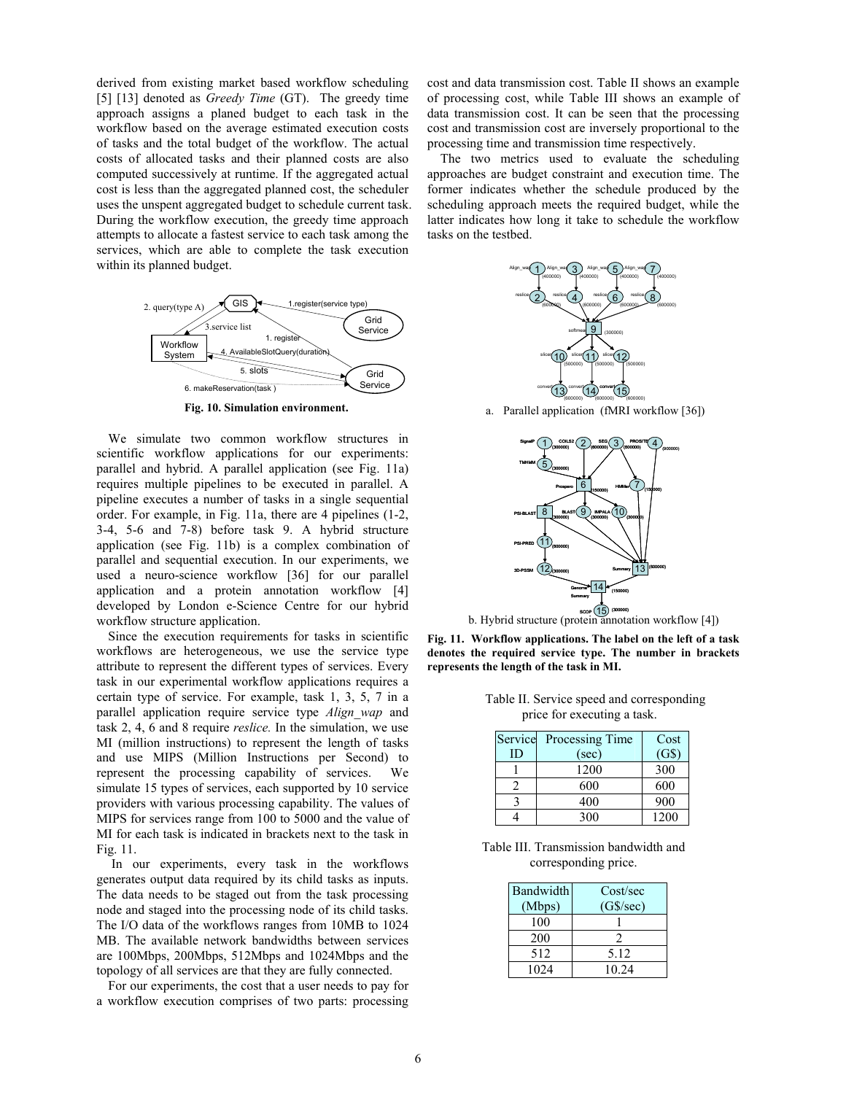derived from existing market based workflow scheduling [5] [13] denoted as *Greedy Time* (GT). The greedy time approach assigns a planed budget to each task in the workflow based on the average estimated execution costs of tasks and the total budget of the workflow. The actual costs of allocated tasks and their planned costs are also computed successively at runtime. If the aggregated actual cost is less than the aggregated planned cost, the scheduler uses the unspent aggregated budget to schedule current task. During the workflow execution, the greedy time approach attempts to allocate a fastest service to each task among the services, which are able to complete the task execution within its planned budget.



**Fig. 10. Simulation environment.** 

We simulate two common workflow structures in scientific workflow applications for our experiments: parallel and hybrid. A parallel application (see Fig. 11a) requires multiple pipelines to be executed in parallel. A pipeline executes a number of tasks in a single sequential order. For example, in Fig. 11a, there are 4 pipelines (1-2, 3-4, 5-6 and 7-8) before task 9. A hybrid structure application (see Fig. 11b) is a complex combination of parallel and sequential execution. In our experiments, we used a neuro-science workflow [36] for our parallel application and a protein annotation workflow [4] developed by London e-Science Centre for our hybrid workflow structure application.

Since the execution requirements for tasks in scientific workflows are heterogeneous, we use the service type attribute to represent the different types of services. Every task in our experimental workflow applications requires a certain type of service. For example, task 1, 3, 5, 7 in a parallel application require service type *Align\_wap* and task 2, 4, 6 and 8 require *reslice.* In the simulation, we use MI (million instructions) to represent the length of tasks and use MIPS (Million Instructions per Second) to represent the processing capability of services. We simulate 15 types of services, each supported by 10 service providers with various processing capability. The values of MIPS for services range from 100 to 5000 and the value of MI for each task is indicated in brackets next to the task in Fig. 11.

 In our experiments, every task in the workflows generates output data required by its child tasks as inputs. The data needs to be staged out from the task processing node and staged into the processing node of its child tasks. The I/O data of the workflows ranges from 10MB to 1024 MB. The available network bandwidths between services are 100Mbps, 200Mbps, 512Mbps and 1024Mbps and the topology of all services are that they are fully connected.

For our experiments, the cost that a user needs to pay for a workflow execution comprises of two parts: processing cost and data transmission cost. Table II shows an example of processing cost, while Table III shows an example of data transmission cost. It can be seen that the processing cost and transmission cost are inversely proportional to the processing time and transmission time respectively.

The two metrics used to evaluate the scheduling approaches are budget constraint and execution time. The former indicates whether the schedule produced by the scheduling approach meets the required budget, while the latter indicates how long it take to schedule the workflow tasks on the testbed.



a. Parallel application (fMRI workflow [36])



 $\frac{\sec_{1}(5) \cos_{10}(15)}{\sec_{10}(15)}$  (b. Hybrid structure (protein annotation workflow [4])

**Fig. 11. Workflow applications. The label on the left of a task denotes the required service type. The number in brackets represents the length of the task in MI.** 

| Table II. Service speed and corresponding |
|-------------------------------------------|
| price for executing a task.               |

|    | Service Processing Time | Cost  |
|----|-------------------------|-------|
| ID | (sec)                   | (G\$) |
|    | 1200                    | 300   |
|    | 600                     | 600   |
|    | 400                     | 900   |
|    | 300                     | 1200  |

Table III. Transmission bandwidth and corresponding price.

| <b>Bandwidth</b> | Cost/sec  |
|------------------|-----------|
| (Mbps)           | (G\$/sec) |
| 100              |           |
| 200              | 2         |
| 512              | 5.12      |
| 1024             | 10 24     |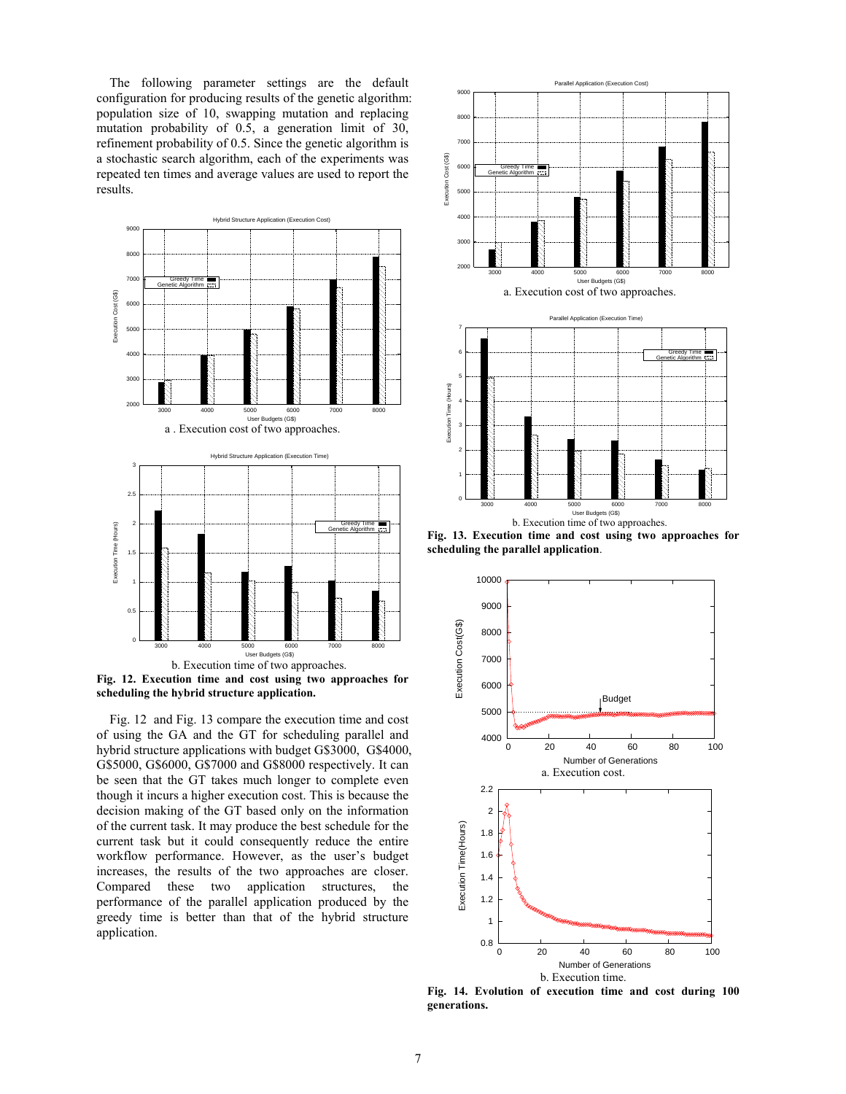The following parameter settings are the default configuration for producing results of the genetic algorithm: population size of 10, swapping mutation and replacing mutation probability of 0.5, a generation limit of 30, refinement probability of 0.5. Since the genetic algorithm is a stochastic search algorithm, each of the experiments was repeated ten times and average values are used to report the results.



**Fig. 12. Execution time and cost using two approaches for scheduling the hybrid structure application.** 

Fig. 12 and Fig. 13 compare the execution time and cost of using the GA and the GT for scheduling parallel and hybrid structure applications with budget G\$3000, G\$4000, G\$5000, G\$6000, G\$7000 and G\$8000 respectively. It can be seen that the GT takes much longer to complete even though it incurs a higher execution cost. This is because the decision making of the GT based only on the information of the current task. It may produce the best schedule for the current task but it could consequently reduce the entire workflow performance. However, as the user's budget increases, the results of the two approaches are closer. Compared these two application structures, the performance of the parallel application produced by the greedy time is better than that of the hybrid structure application.



**Fig. 13. Execution time and cost using two approaches for scheduling the parallel application**.



**Fig. 14. Evolution of execution time and cost during 100 generations.**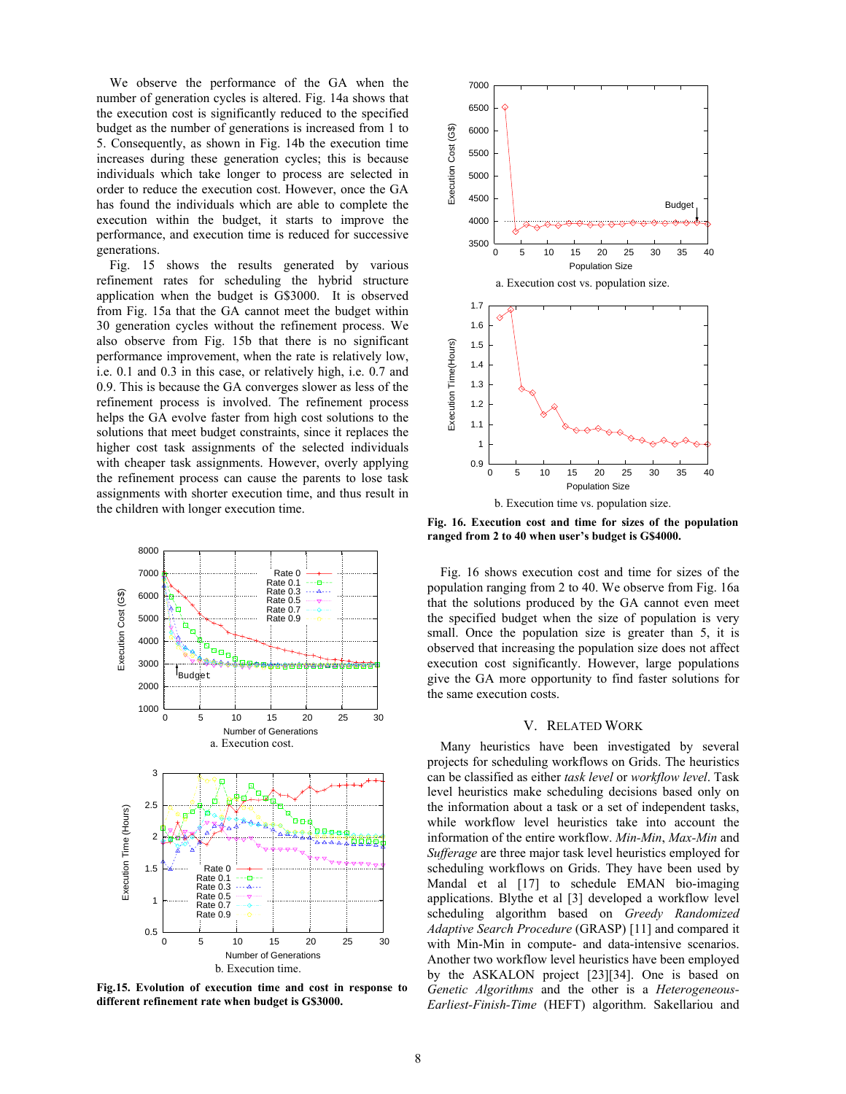We observe the performance of the GA when the number of generation cycles is altered. Fig. 14a shows that the execution cost is significantly reduced to the specified budget as the number of generations is increased from 1 to 5. Consequently, as shown in Fig. 14b the execution time increases during these generation cycles; this is because individuals which take longer to process are selected in order to reduce the execution cost. However, once the GA has found the individuals which are able to complete the execution within the budget, it starts to improve the performance, and execution time is reduced for successive generations.

Fig. 15 shows the results generated by various refinement rates for scheduling the hybrid structure application when the budget is G\$3000. It is observed from Fig. 15a that the GA cannot meet the budget within 30 generation cycles without the refinement process. We also observe from Fig. 15b that there is no significant performance improvement, when the rate is relatively low, i.e. 0.1 and 0.3 in this case, or relatively high, i.e. 0.7 and 0.9. This is because the GA converges slower as less of the refinement process is involved. The refinement process helps the GA evolve faster from high cost solutions to the solutions that meet budget constraints, since it replaces the higher cost task assignments of the selected individuals with cheaper task assignments. However, overly applying the refinement process can cause the parents to lose task assignments with shorter execution time, and thus result in the children with longer execution time.



**Fig.15. Evolution of execution time and cost in response to different refinement rate when budget is G\$3000.** 



b. Execution time vs. population size.

**Fig. 16. Execution cost and time for sizes of the population ranged from 2 to 40 when user's budget is G\$4000.** 

Fig. 16 shows execution cost and time for sizes of the population ranging from 2 to 40. We observe from Fig. 16a that the solutions produced by the GA cannot even meet the specified budget when the size of population is very small. Once the population size is greater than 5, it is observed that increasing the population size does not affect execution cost significantly. However, large populations give the GA more opportunity to find faster solutions for the same execution costs.

### V. RELATED WORK

Many heuristics have been investigated by several projects for scheduling workflows on Grids. The heuristics can be classified as either *task level* or *workflow level*. Task level heuristics make scheduling decisions based only on the information about a task or a set of independent tasks, while workflow level heuristics take into account the information of the entire workflow. *Min-Min*, *Max-Min* and *Sufferage* are three major task level heuristics employed for scheduling workflows on Grids. They have been used by Mandal et al [17] to schedule EMAN bio-imaging applications. Blythe et al [3] developed a workflow level scheduling algorithm based on *Greedy Randomized Adaptive Search Procedure* (GRASP) [11] and compared it with Min-Min in compute- and data-intensive scenarios. Another two workflow level heuristics have been employed by the ASKALON project [23][34]. One is based on *Genetic Algorithms* and the other is a *Heterogeneous-Earliest-Finish-Time* (HEFT) algorithm. Sakellariou and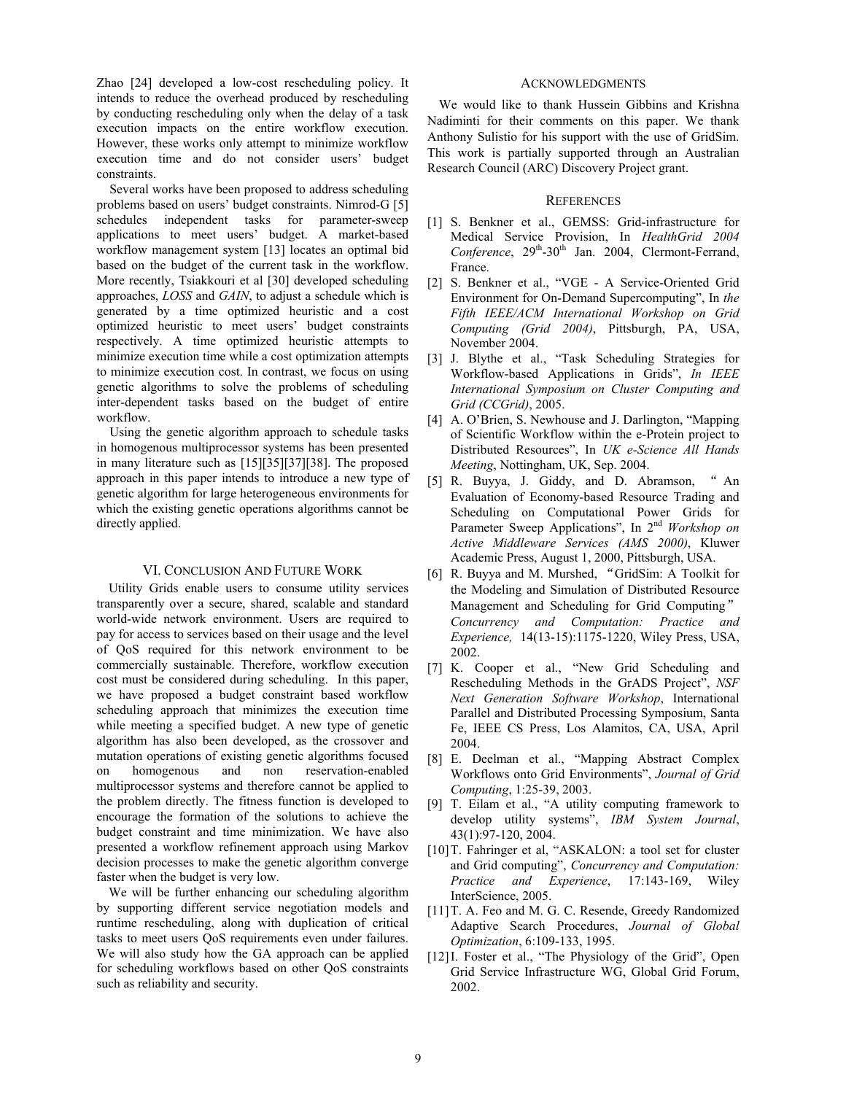Zhao [24] developed a low-cost rescheduling policy. It intends to reduce the overhead produced by rescheduling by conducting rescheduling only when the delay of a task execution impacts on the entire workflow execution. However, these works only attempt to minimize workflow execution time and do not consider users' budget constraints.

Several works have been proposed to address scheduling problems based on users' budget constraints. Nimrod-G [5] schedules independent tasks for parameter-sweep applications to meet users' budget. A market-based workflow management system [13] locates an optimal bid based on the budget of the current task in the workflow. More recently, Tsiakkouri et al [30] developed scheduling approaches, *LOSS* and *GAIN*, to adjust a schedule which is generated by a time optimized heuristic and a cost optimized heuristic to meet users' budget constraints respectively. A time optimized heuristic attempts to minimize execution time while a cost optimization attempts to minimize execution cost. In contrast, we focus on using genetic algorithms to solve the problems of scheduling inter-dependent tasks based on the budget of entire workflow.

Using the genetic algorithm approach to schedule tasks in homogenous multiprocessor systems has been presented in many literature such as [15][35][37][38]. The proposed approach in this paper intends to introduce a new type of genetic algorithm for large heterogeneous environments for which the existing genetic operations algorithms cannot be directly applied.

## VI. CONCLUSION AND FUTURE WORK

Utility Grids enable users to consume utility services transparently over a secure, shared, scalable and standard world-wide network environment. Users are required to pay for access to services based on their usage and the level of QoS required for this network environment to be commercially sustainable. Therefore, workflow execution cost must be considered during scheduling. In this paper, we have proposed a budget constraint based workflow scheduling approach that minimizes the execution time while meeting a specified budget. A new type of genetic algorithm has also been developed, as the crossover and mutation operations of existing genetic algorithms focused on homogenous and non reservation-enabled multiprocessor systems and therefore cannot be applied to the problem directly. The fitness function is developed to encourage the formation of the solutions to achieve the budget constraint and time minimization. We have also presented a workflow refinement approach using Markov decision processes to make the genetic algorithm converge faster when the budget is very low.

We will be further enhancing our scheduling algorithm by supporting different service negotiation models and runtime rescheduling, along with duplication of critical tasks to meet users QoS requirements even under failures. We will also study how the GA approach can be applied for scheduling workflows based on other QoS constraints such as reliability and security.

## ACKNOWLEDGMENTS

We would like to thank Hussein Gibbins and Krishna Nadiminti for their comments on this paper. We thank Anthony Sulistio for his support with the use of GridSim. This work is partially supported through an Australian Research Council (ARC) Discovery Project grant.

### **REFERENCES**

- [1] S. Benkner et al., GEMSS: Grid-infrastructure for Medical Service Provision, In *HealthGrid 2004*  Conference, 29<sup>th</sup>-30<sup>th</sup> Jan. 2004, Clermont-Ferrand, France.
- [2] S. Benkner et al., "VGE A Service-Oriented Grid Environment for On-Demand Supercomputing", In *the Fifth IEEE/ACM International Workshop on Grid Computing (Grid 2004)*, Pittsburgh, PA, USA, November 2004.
- [3] J. Blythe et al., "Task Scheduling Strategies for Workflow-based Applications in Grids", *In IEEE International Symposium on Cluster Computing and Grid (CCGrid)*, 2005.
- [4] A. O'Brien, S. Newhouse and J. Darlington, "Mapping" of Scientific Workflow within the e-Protein project to Distributed Resources", In *UK e-Science All Hands Meeting*, Nottingham, UK, Sep. 2004.
- [5] R. Buyya, J. Giddy, and D. Abramson, " An Evaluation of Economy-based Resource Trading and Scheduling on Computational Power Grids for Parameter Sweep Applications", In 2<sup>nd</sup> Workshop on *Active Middleware Services (AMS 2000)*, Kluwer Academic Press, August 1, 2000, Pittsburgh, USA.
- [6] R. Buyya and M. Murshed, "GridSim: A Toolkit for the Modeling and Simulation of Distributed Resource Management and Scheduling for Grid Computing" *Concurrency and Computation: Practice and Experience,* 14(13-15):1175-1220, Wiley Press, USA, 2002.
- [7] K. Cooper et al., "New Grid Scheduling and Rescheduling Methods in the GrADS Project", *NSF Next Generation Software Workshop*, International Parallel and Distributed Processing Symposium, Santa Fe, IEEE CS Press, Los Alamitos, CA, USA, April 2004.
- [8] E. Deelman et al., "Mapping Abstract Complex Workflows onto Grid Environments", *Journal of Grid Computing*, 1:25-39, 2003.
- [9] T. Eilam et al., "A utility computing framework to develop utility systems", *IBM System Journal*, 43(1):97-120, 2004.
- [10] T. Fahringer et al, "ASKALON: a tool set for cluster and Grid computing", *Concurrency and Computation: Practice and Experience*, 17:143-169, Wiley InterScience, 2005.
- [11] T. A. Feo and M. G. C. Resende, Greedy Randomized Adaptive Search Procedures, *Journal of Global Optimization*, 6:109-133, 1995.
- [12] I. Foster et al., "The Physiology of the Grid", Open Grid Service Infrastructure WG, Global Grid Forum, 2002.